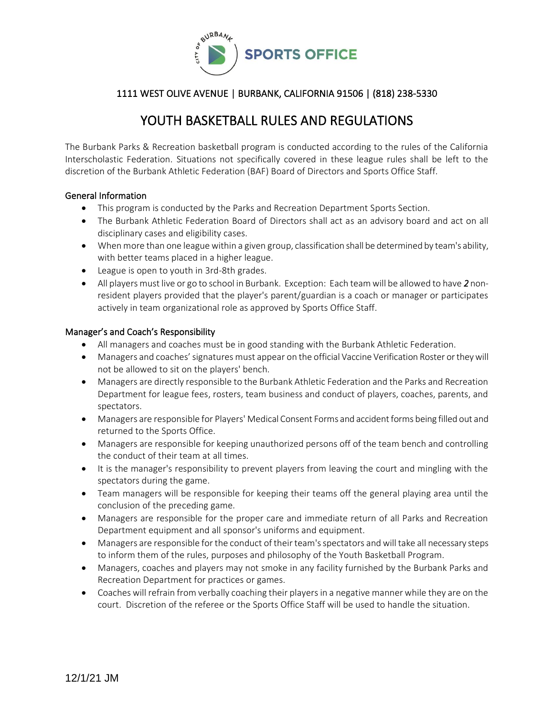

# YOUTH BASKETBALL RULES AND REGULATIONS

The Burbank Parks & Recreation basketball program is conducted according to the rules of the California Interscholastic Federation. Situations not specifically covered in these league rules shall be left to the discretion of the Burbank Athletic Federation (BAF) Board of Directors and Sports Office Staff.

## General Information

- This program is conducted by the Parks and Recreation Department Sports Section.
- The Burbank Athletic Federation Board of Directors shall act as an advisory board and act on all disciplinary cases and eligibility cases.
- When more than one league within a given group, classification shall be determined by team's ability, with better teams placed in a higher league.
- League is open to youth in 3rd-8th grades.
- All players must live or go to school in Burbank. Exception: Each team will be allowed to have *2* nonresident players provided that the player's parent/guardian is a coach or manager or participates actively in team organizational role as approved by Sports Office Staff.

## Manager's and Coach's Responsibility

- All managers and coaches must be in good standing with the Burbank Athletic Federation.
- Managers and coaches'signatures must appear on the official Vaccine Verification Roster or they will not be allowed to sit on the players' bench.
- Managers are directly responsible to the Burbank Athletic Federation and the Parks and Recreation Department for league fees, rosters, team business and conduct of players, coaches, parents, and spectators.
- Managers are responsible for Players' Medical Consent Forms and accident forms being filled out and returned to the Sports Office.
- Managers are responsible for keeping unauthorized persons off of the team bench and controlling the conduct of their team at all times.
- It is the manager's responsibility to prevent players from leaving the court and mingling with the spectators during the game.
- Team managers will be responsible for keeping their teams off the general playing area until the conclusion of the preceding game.
- Managers are responsible for the proper care and immediate return of all Parks and Recreation Department equipment and all sponsor's uniforms and equipment.
- Managers are responsible for the conduct of their team's spectators and will take all necessary steps to inform them of the rules, purposes and philosophy of the Youth Basketball Program.
- Managers, coaches and players may not smoke in any facility furnished by the Burbank Parks and Recreation Department for practices or games.
- Coaches will refrain from verbally coaching their players in a negative manner while they are on the court. Discretion of the referee or the Sports Office Staff will be used to handle the situation.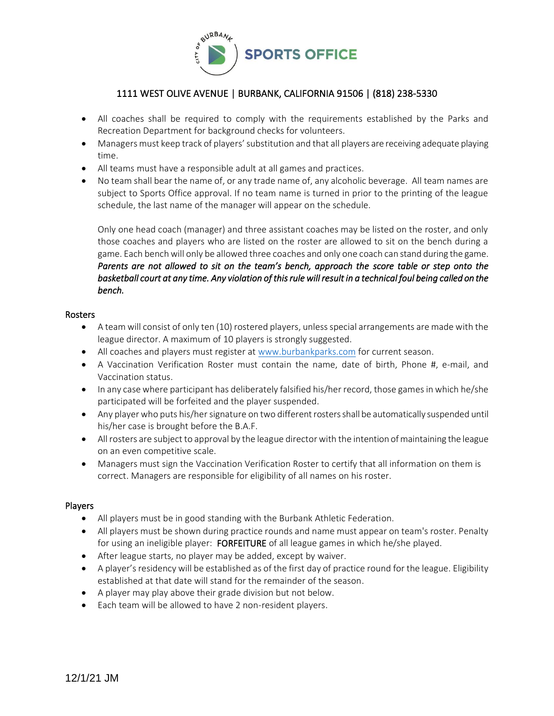

- All coaches shall be required to comply with the requirements established by the Parks and Recreation Department for background checks for volunteers.
- Managers must keep track of players' substitution and that all players are receiving adequate playing time.
- All teams must have a responsible adult at all games and practices.
- No team shall bear the name of, or any trade name of, any alcoholic beverage. All team names are subject to Sports Office approval. If no team name is turned in prior to the printing of the league schedule, the last name of the manager will appear on the schedule.

Only one head coach (manager) and three assistant coaches may be listed on the roster, and only those coaches and players who are listed on the roster are allowed to sit on the bench during a game. Each bench will only be allowed three coaches and only one coach can stand during the game. *Parents are not allowed to sit on the team's bench, approach the score table or step onto the basketball court at any time. Any violation of this rule will result in a technical foul being called on the bench.* 

#### Rosters

- A team will consist of only ten (10) rostered players, unless special arrangements are made with the league director. A maximum of 10 players is strongly suggested.
- All coaches and players must register at [www.burbankparks.com](http://www.burbankparks.com/) for current season.
- A Vaccination Verification Roster must contain the name, date of birth, Phone #, e-mail, and Vaccination status.
- In any case where participant has deliberately falsified his/her record, those games in which he/she participated will be forfeited and the player suspended.
- Any player who puts his/her signature on two different rosters shall be automatically suspended until his/her case is brought before the B.A.F.
- All rosters are subject to approval by the league director with the intention of maintaining the league on an even competitive scale.
- Managers must sign the Vaccination Verification Roster to certify that all information on them is correct. Managers are responsible for eligibility of all names on his roster.

## Players

- All players must be in good standing with the Burbank Athletic Federation.
- All players must be shown during practice rounds and name must appear on team's roster. Penalty for using an ineligible player: FORFEITURE of all league games in which he/she played.
- After league starts, no player may be added, except by waiver.
- A player's residency will be established as of the first day of practice round for the league. Eligibility established at that date will stand for the remainder of the season.
- A player may play above their grade division but not below.
- Each team will be allowed to have 2 non-resident players.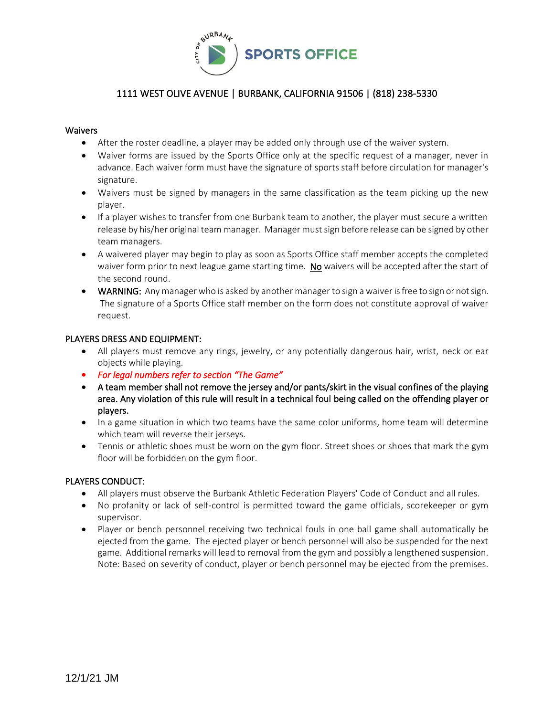

## Waivers

- After the roster deadline, a player may be added only through use of the waiver system.
- Waiver forms are issued by the Sports Office only at the specific request of a manager, never in advance. Each waiver form must have the signature of sports staff before circulation for manager's signature.
- Waivers must be signed by managers in the same classification as the team picking up the new player.
- If a player wishes to transfer from one Burbank team to another, the player must secure a written release by his/her original team manager. Manager must sign before release can be signed by other team managers.
- A waivered player may begin to play as soon as Sports Office staff member accepts the completed waiver form prior to next league game starting time. No waivers will be accepted after the start of the second round.
- WARNING: Any manager who is asked by another manager to sign a waiver is free to sign or not sign. The signature of a Sports Office staff member on the form does not constitute approval of waiver request.

#### PLAYERS DRESS AND EQUIPMENT:

- All players must remove any rings, jewelry, or any potentially dangerous hair, wrist, neck or ear objects while playing.
- *For legal numbers refer to section "The Game"*
- A team member shall not remove the jersey and/or pants/skirt in the visual confines of the playing area. Any violation of this rule will result in a technical foul being called on the offending player or players.
- In a game situation in which two teams have the same color uniforms, home team will determine which team will reverse their jerseys.
- Tennis or athletic shoes must be worn on the gym floor. Street shoes or shoes that mark the gym floor will be forbidden on the gym floor.

## PLAYERS CONDUCT:

- All players must observe the Burbank Athletic Federation Players' Code of Conduct and all rules.
- No profanity or lack of self-control is permitted toward the game officials, scorekeeper or gym supervisor.
- Player or bench personnel receiving two technical fouls in one ball game shall automatically be ejected from the game. The ejected player or bench personnel will also be suspended for the next game. Additional remarks will lead to removal from the gym and possibly a lengthened suspension. Note: Based on severity of conduct, player or bench personnel may be ejected from the premises.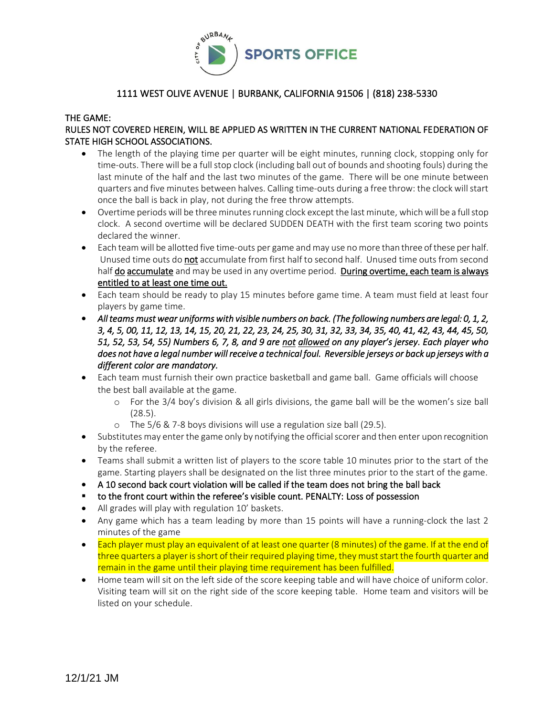

#### THE GAME:

# RULES NOT COVERED HEREIN, WILL BE APPLIED AS WRITTEN IN THE CURRENT NATIONAL FEDERATION OF STATE HIGH SCHOOL ASSOCIATIONS.

- The length of the playing time per quarter will be eight minutes, running clock, stopping only for time-outs. There will be a full stop clock (including ball out of bounds and shooting fouls) during the last minute of the half and the last two minutes of the game. There will be one minute between quarters and five minutes between halves. Calling time-outs during a free throw: the clock will start once the ball is back in play, not during the free throw attempts.
- Overtime periods will be three minutes running clock except the last minute, which will be a full stop clock. A second overtime will be declared SUDDEN DEATH with the first team scoring two points declared the winner.
- Each team will be allotted five time-outs per game and may use no more than three of these per half. Unused time outs do not accumulate from first half to second half. Unused time outs from second half do accumulate and may be used in any overtime period. During overtime, each team is always entitled to at least one time out.
- Each team should be ready to play 15 minutes before game time. A team must field at least four players by game time.
- *All teams must wear uniforms with visible numbers on back. (The following numbers are legal: 0, 1, 2, 3, 4, 5, 00, 11, 12, 13, 14, 15, 20, 21, 22, 23, 24, 25, 30, 31, 32, 33, 34, 35, 40, 41, 42, 43, 44, 45, 50, 51, 52, 53, 54, 55) Numbers 6, 7, 8, and 9 are not allowed on any player's jersey. Each player who does not have a legal number will receive a technical foul. Reversible jerseys or back up jerseys with a different color are mandatory.*
- Each team must furnish their own practice basketball and game ball. Game officials will choose the best ball available at the game.
	- o For the 3/4 boy's division & all girls divisions, the game ball will be the women's size ball (28.5).
	- o The 5/6 & 7-8 boys divisions will use a regulation size ball (29.5).
- Substitutes may enter the game only by notifying the official scorer and then enter upon recognition by the referee.
- Teams shall submit a written list of players to the score table 10 minutes prior to the start of the game. Starting players shall be designated on the list three minutes prior to the start of the game.
- A 10 second back court violation will be called if the team does not bring the ball back
- to the front court within the referee's visible count. PENALTY: Loss of possession
- All grades will play with regulation 10' baskets.
- Any game which has a team leading by more than 15 points will have a running-clock the last 2 minutes of the game
- Each player must play an equivalent of at least one quarter (8 minutes) of the game. If at the end of three quarters a player is short of their required playing time, they must start the fourth quarter and remain in the game until their playing time requirement has been fulfilled.
- Home team will sit on the left side of the score keeping table and will have choice of uniform color. Visiting team will sit on the right side of the score keeping table. Home team and visitors will be listed on your schedule.